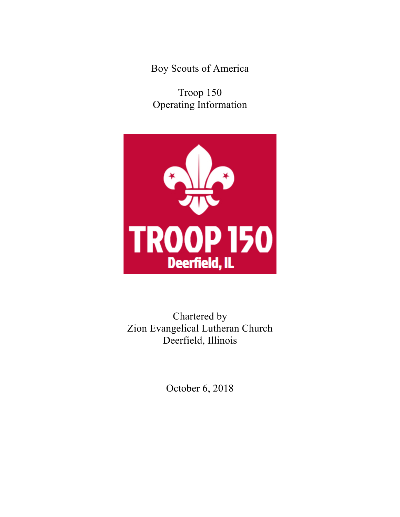Boy Scouts of America

Troop 150 Operating Information



# Chartered by Zion Evangelical Lutheran Church Deerfield, Illinois

October 6, 2018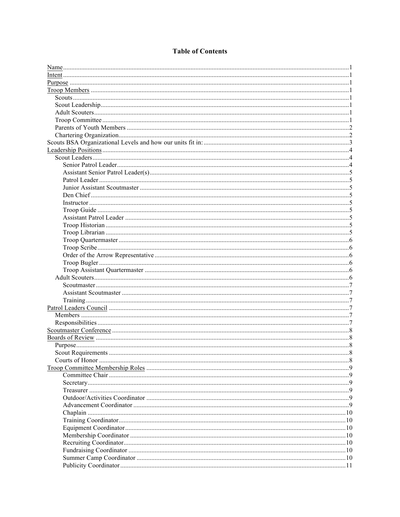## **Table of Contents**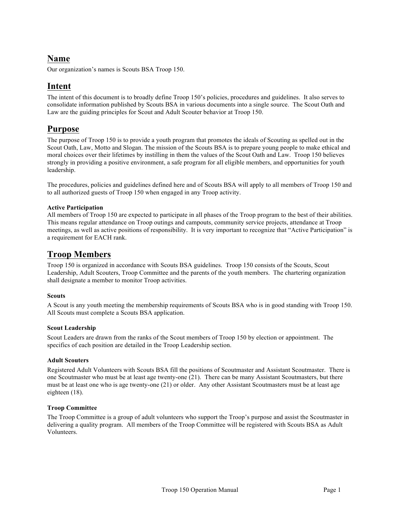## **Name**

Our organization's names is Scouts BSA Troop 150.

## **Intent**

The intent of this document is to broadly define Troop 150's policies, procedures and guidelines. It also serves to consolidate information published by Scouts BSA in various documents into a single source. The Scout Oath and Law are the guiding principles for Scout and Adult Scouter behavior at Troop 150.

## **Purpose**

The purpose of Troop 150 is to provide a youth program that promotes the ideals of Scouting as spelled out in the Scout Oath, Law, Motto and Slogan. The mission of the Scouts BSA is to prepare young people to make ethical and moral choices over their lifetimes by instilling in them the values of the Scout Oath and Law. Troop 150 believes strongly in providing a positive environment, a safe program for all eligible members, and opportunities for youth leadership.

The procedures, policies and guidelines defined here and of Scouts BSA will apply to all members of Troop 150 and to all authorized guests of Troop 150 when engaged in any Troop activity.

## **Active Participation**

All members of Troop 150 are expected to participate in all phases of the Troop program to the best of their abilities. This means regular attendance on Troop outings and campouts, community service projects, attendance at Troop meetings, as well as active positions of responsibility. It is very important to recognize that "Active Participation" is a requirement for EACH rank.

## **Troop Members**

Troop 150 is organized in accordance with Scouts BSA guidelines. Troop 150 consists of the Scouts, Scout Leadership, Adult Scouters, Troop Committee and the parents of the youth members. The chartering organization shall designate a member to monitor Troop activities.

## **Scouts**

A Scout is any youth meeting the membership requirements of Scouts BSA who is in good standing with Troop 150. All Scouts must complete a Scouts BSA application.

## **Scout Leadership**

Scout Leaders are drawn from the ranks of the Scout members of Troop 150 by election or appointment. The specifics of each position are detailed in the Troop Leadership section.

## **Adult Scouters**

Registered Adult Volunteers with Scouts BSA fill the positions of Scoutmaster and Assistant Scoutmaster. There is one Scoutmaster who must be at least age twenty-one (21). There can be many Assistant Scoutmasters, but there must be at least one who is age twenty-one (21) or older. Any other Assistant Scoutmasters must be at least age eighteen (18).

## **Troop Committee**

The Troop Committee is a group of adult volunteers who support the Troop's purpose and assist the Scoutmaster in delivering a quality program. All members of the Troop Committee will be registered with Scouts BSA as Adult Volunteers.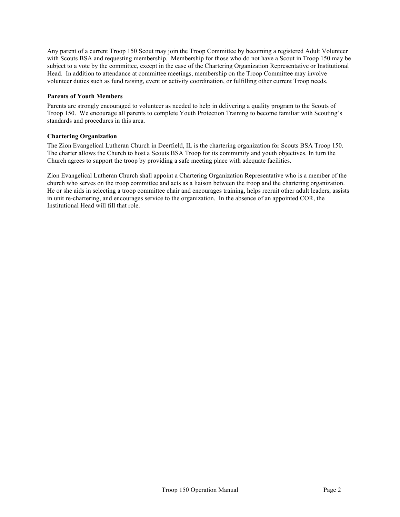Any parent of a current Troop 150 Scout may join the Troop Committee by becoming a registered Adult Volunteer with Scouts BSA and requesting membership. Membership for those who do not have a Scout in Troop 150 may be subject to a vote by the committee, except in the case of the Chartering Organization Representative or Institutional Head. In addition to attendance at committee meetings, membership on the Troop Committee may involve volunteer duties such as fund raising, event or activity coordination, or fulfilling other current Troop needs.

### **Parents of Youth Members**

Parents are strongly encouraged to volunteer as needed to help in delivering a quality program to the Scouts of Troop 150. We encourage all parents to complete Youth Protection Training to become familiar with Scouting's standards and procedures in this area.

## **Chartering Organization**

The Zion Evangelical Lutheran Church in Deerfield, IL is the chartering organization for Scouts BSA Troop 150. The charter allows the Church to host a Scouts BSA Troop for its community and youth objectives. In turn the Church agrees to support the troop by providing a safe meeting place with adequate facilities.

Zion Evangelical Lutheran Church shall appoint a Chartering Organization Representative who is a member of the church who serves on the troop committee and acts as a liaison between the troop and the chartering organization. He or she aids in selecting a troop committee chair and encourages training, helps recruit other adult leaders, assists in unit re-chartering, and encourages service to the organization. In the absence of an appointed COR, the Institutional Head will fill that role.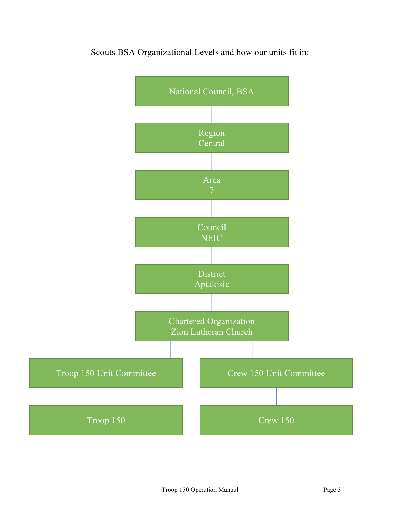

Scouts BSA Organizational Levels and how our units fit in: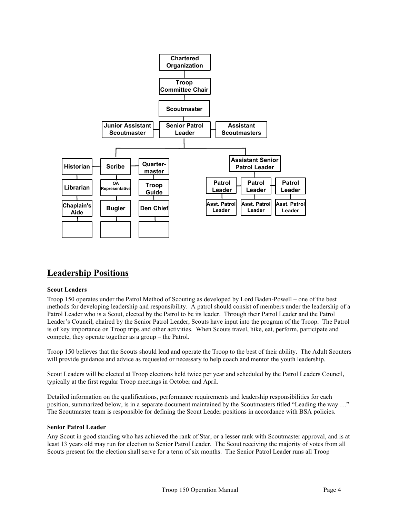

## **Leadership Positions**

## **Scout Leaders**

Troop 150 operates under the Patrol Method of Scouting as developed by Lord Baden-Powell – one of the best methods for developing leadership and responsibility. A patrol should consist of members under the leadership of a Patrol Leader who is a Scout, elected by the Patrol to be its leader. Through their Patrol Leader and the Patrol Leader's Council, chaired by the Senior Patrol Leader, Scouts have input into the program of the Troop. The Patrol is of key importance on Troop trips and other activities. When Scouts travel, hike, eat, perform, participate and compete, they operate together as a group – the Patrol.

Troop 150 believes that the Scouts should lead and operate the Troop to the best of their ability. The Adult Scouters will provide guidance and advice as requested or necessary to help coach and mentor the youth leadership.

Scout Leaders will be elected at Troop elections held twice per year and scheduled by the Patrol Leaders Council, typically at the first regular Troop meetings in October and April.

Detailed information on the qualifications, performance requirements and leadership responsibilities for each position, summarized below, is in a separate document maintained by the Scoutmasters titled "Leading the way …" The Scoutmaster team is responsible for defining the Scout Leader positions in accordance with BSA policies.

## **Senior Patrol Leader**

Any Scout in good standing who has achieved the rank of Star, or a lesser rank with Scoutmaster approval, and is at least 13 years old may run for election to Senior Patrol Leader. The Scout receiving the majority of votes from all Scouts present for the election shall serve for a term of six months. The Senior Patrol Leader runs all Troop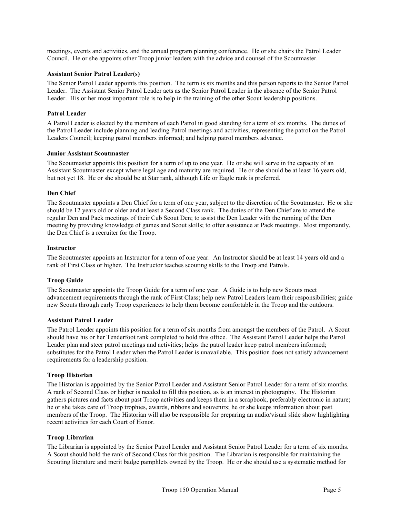meetings, events and activities, and the annual program planning conference. He or she chairs the Patrol Leader Council. He or she appoints other Troop junior leaders with the advice and counsel of the Scoutmaster.

### **Assistant Senior Patrol Leader(s)**

The Senior Patrol Leader appoints this position. The term is six months and this person reports to the Senior Patrol Leader. The Assistant Senior Patrol Leader acts as the Senior Patrol Leader in the absence of the Senior Patrol Leader. His or her most important role is to help in the training of the other Scout leadership positions.

### **Patrol Leader**

A Patrol Leader is elected by the members of each Patrol in good standing for a term of six months. The duties of the Patrol Leader include planning and leading Patrol meetings and activities; representing the patrol on the Patrol Leaders Council; keeping patrol members informed; and helping patrol members advance.

#### **Junior Assistant Scoutmaster**

The Scoutmaster appoints this position for a term of up to one year. He or she will serve in the capacity of an Assistant Scoutmaster except where legal age and maturity are required. He or she should be at least 16 years old, but not yet 18. He or she should be at Star rank, although Life or Eagle rank is preferred.

#### **Den Chief**

The Scoutmaster appoints a Den Chief for a term of one year, subject to the discretion of the Scoutmaster. He or she should be 12 years old or older and at least a Second Class rank. The duties of the Den Chief are to attend the regular Den and Pack meetings of their Cub Scout Den; to assist the Den Leader with the running of the Den meeting by providing knowledge of games and Scout skills; to offer assistance at Pack meetings. Most importantly, the Den Chief is a recruiter for the Troop.

#### **Instructor**

The Scoutmaster appoints an Instructor for a term of one year. An Instructor should be at least 14 years old and a rank of First Class or higher. The Instructor teaches scouting skills to the Troop and Patrols.

## **Troop Guide**

The Scoutmaster appoints the Troop Guide for a term of one year. A Guide is to help new Scouts meet advancement requirements through the rank of First Class; help new Patrol Leaders learn their responsibilities; guide new Scouts through early Troop experiences to help them become comfortable in the Troop and the outdoors.

#### **Assistant Patrol Leader**

The Patrol Leader appoints this position for a term of six months from amongst the members of the Patrol. A Scout should have his or her Tenderfoot rank completed to hold this office. The Assistant Patrol Leader helps the Patrol Leader plan and steer patrol meetings and activities; helps the patrol leader keep patrol members informed; substitutes for the Patrol Leader when the Patrol Leader is unavailable. This position does not satisfy advancement requirements for a leadership position.

#### **Troop Historian**

The Historian is appointed by the Senior Patrol Leader and Assistant Senior Patrol Leader for a term of six months. A rank of Second Class or higher is needed to fill this position, as is an interest in photography. The Historian gathers pictures and facts about past Troop activities and keeps them in a scrapbook, preferably electronic in nature; he or she takes care of Troop trophies, awards, ribbons and souvenirs; he or she keeps information about past members of the Troop. The Historian will also be responsible for preparing an audio/visual slide show highlighting recent activities for each Court of Honor.

#### **Troop Librarian**

The Librarian is appointed by the Senior Patrol Leader and Assistant Senior Patrol Leader for a term of six months. A Scout should hold the rank of Second Class for this position. The Librarian is responsible for maintaining the Scouting literature and merit badge pamphlets owned by the Troop. He or she should use a systematic method for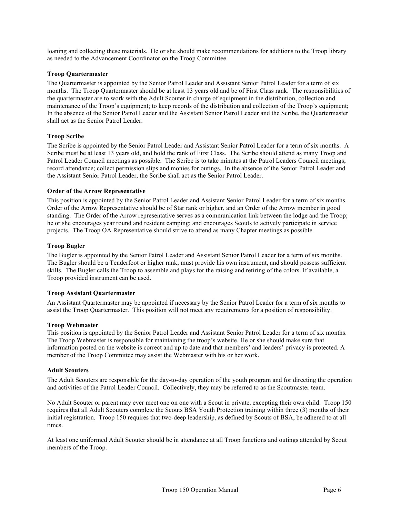loaning and collecting these materials. He or she should make recommendations for additions to the Troop library as needed to the Advancement Coordinator on the Troop Committee.

### **Troop Quartermaster**

The Quartermaster is appointed by the Senior Patrol Leader and Assistant Senior Patrol Leader for a term of six months. The Troop Quartermaster should be at least 13 years old and be of First Class rank. The responsibilities of the quartermaster are to work with the Adult Scouter in charge of equipment in the distribution, collection and maintenance of the Troop's equipment; to keep records of the distribution and collection of the Troop's equipment; In the absence of the Senior Patrol Leader and the Assistant Senior Patrol Leader and the Scribe, the Quartermaster shall act as the Senior Patrol Leader.

## **Troop Scribe**

The Scribe is appointed by the Senior Patrol Leader and Assistant Senior Patrol Leader for a term of six months. A Scribe must be at least 13 years old, and hold the rank of First Class. The Scribe should attend as many Troop and Patrol Leader Council meetings as possible. The Scribe is to take minutes at the Patrol Leaders Council meetings; record attendance; collect permission slips and monies for outings. In the absence of the Senior Patrol Leader and the Assistant Senior Patrol Leader, the Scribe shall act as the Senior Patrol Leader.

#### **Order of the Arrow Representative**

This position is appointed by the Senior Patrol Leader and Assistant Senior Patrol Leader for a term of six months. Order of the Arrow Representative should be of Star rank or higher, and an Order of the Arrow member in good standing. The Order of the Arrow representative serves as a communication link between the lodge and the Troop; he or she encourages year round and resident camping; and encourages Scouts to actively participate in service projects. The Troop OA Representative should strive to attend as many Chapter meetings as possible.

#### **Troop Bugler**

The Bugler is appointed by the Senior Patrol Leader and Assistant Senior Patrol Leader for a term of six months. The Bugler should be a Tenderfoot or higher rank, must provide his own instrument, and should possess sufficient skills. The Bugler calls the Troop to assemble and plays for the raising and retiring of the colors. If available, a Troop provided instrument can be used.

#### **Troop Assistant Quartermaster**

An Assistant Quartermaster may be appointed if necessary by the Senior Patrol Leader for a term of six months to assist the Troop Quartermaster. This position will not meet any requirements for a position of responsibility.

#### **Troop Webmaster**

This position is appointed by the Senior Patrol Leader and Assistant Senior Patrol Leader for a term of six months. The Troop Webmaster is responsible for maintaining the troop's website. He or she should make sure that information posted on the website is correct and up to date and that members' and leaders' privacy is protected. A member of the Troop Committee may assist the Webmaster with his or her work.

#### **Adult Scouters**

The Adult Scouters are responsible for the day-to-day operation of the youth program and for directing the operation and activities of the Patrol Leader Council. Collectively, they may be referred to as the Scoutmaster team.

No Adult Scouter or parent may ever meet one on one with a Scout in private, excepting their own child. Troop 150 requires that all Adult Scouters complete the Scouts BSA Youth Protection training within three (3) months of their initial registration. Troop 150 requires that two-deep leadership, as defined by Scouts of BSA, be adhered to at all times.

At least one uniformed Adult Scouter should be in attendance at all Troop functions and outings attended by Scout members of the Troop.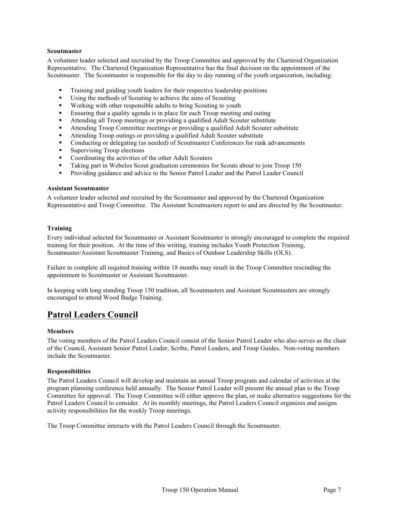### **Scoutmaster**

A volunteer leader selected and recruited by the Troop Committee and approved by the Chartered Organization Representative. The Chartered Organization Representative has the final decision on the appointment of the Scoutmaster. The Scoutmaster is responsible for the day to day running of the youth organization, including:

- Training and guiding youth leaders for their respective leadership positions
- § Using the methods of Scouting to achieve the aims of Scouting
- Working with other responsible adults to bring Scouting to youth
- **■** Ensuring that a quality agenda is in place for each Troop meeting and outing
- **•** Attending all Troop meetings or providing a qualified Adult Scouter substitute
- § Attending Troop Committee meetings or providing a qualified Adult Scouter substitute
- Attending Troop outings or providing a qualified Adult Scouter substitute
- Conducting or delegating (as needed) of Scoutmaster Conferences for rank advancements
- Supervising Troop elections
- Coordinating the activities of the other Adult Scouters
- Taking part in Webelos Scout graduation ceremonies for Scouts about to join Troop 150
- § Providing guidance and advice to the Senior Patrol Leader and the Patrol Leader Council

#### **Assistant Scoutmaster**

A volunteer leader selected and recruited by the Scoutmaster and approved by the Chartered Organization Representative and Troop Committee. The Assistant Scoutmasters report to and are directed by the Scoutmaster.

### **Training**

Every individual selected for Scoutmaster or Assistant Scoutmaster is strongly encouraged to complete the required training for their position. At the time of this writing, training includes Youth Protection Training, Scoutmaster/Assistant Scoutmaster Training, and Basics of Outdoor Leadership Skills (OLS).

Failure to complete all required training within 18 months may result in the Troop Committee rescinding the appointment to Scoutmaster or Assistant Scoutmaster.

In keeping with long standing Troop 150 tradition, all Scoutmasters and Assistant Scoutmasters are strongly encouraged to attend Wood Badge Training.

## **Patrol Leaders Council**

#### **Members**

The voting members of the Patrol Leaders Council consist of the Senior Patrol Leader who also serves as the chair of the Council, Assistant Senior Patrol Leader, Scribe, Patrol Leaders, and Troop Guides. Non-voting members include the Scoutmaster.

#### **Responsibilities**

The Patrol Leaders Council will develop and maintain an annual Troop program and calendar of activities at the program planning conference held annually. The Senior Patrol Leader will present the annual plan to the Troop Committee for approval. The Troop Committee will either approve the plan, or make alternative suggestions for the Patrol Leaders Council to consider. At its monthly meetings, the Patrol Leaders Council organizes and assigns activity responsibilities for the weekly Troop meetings.

The Troop Committee interacts with the Patrol Leaders Council through the Scoutmaster.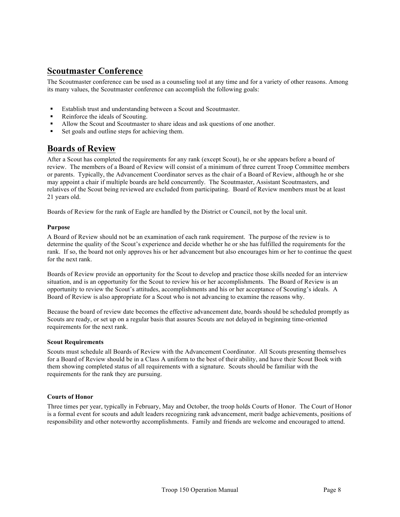## **Scoutmaster Conference**

The Scoutmaster conference can be used as a counseling tool at any time and for a variety of other reasons. Among its many values, the Scoutmaster conference can accomplish the following goals:

- Establish trust and understanding between a Scout and Scoutmaster.
- Reinforce the ideals of Scouting.
- <sup>■</sup> Allow the Scout and Scoutmaster to share ideas and ask questions of one another.
- Set goals and outline steps for achieving them.

## **Boards of Review**

After a Scout has completed the requirements for any rank (except Scout), he or she appears before a board of review. The members of a Board of Review will consist of a minimum of three current Troop Committee members or parents. Typically, the Advancement Coordinator serves as the chair of a Board of Review, although he or she may appoint a chair if multiple boards are held concurrently. The Scoutmaster, Assistant Scoutmasters, and relatives of the Scout being reviewed are excluded from participating. Board of Review members must be at least 21 years old.

Boards of Review for the rank of Eagle are handled by the District or Council, not by the local unit.

### **Purpose**

A Board of Review should not be an examination of each rank requirement. The purpose of the review is to determine the quality of the Scout's experience and decide whether he or she has fulfilled the requirements for the rank. If so, the board not only approves his or her advancement but also encourages him or her to continue the quest for the next rank.

Boards of Review provide an opportunity for the Scout to develop and practice those skills needed for an interview situation, and is an opportunity for the Scout to review his or her accomplishments. The Board of Review is an opportunity to review the Scout's attitudes, accomplishments and his or her acceptance of Scouting's ideals. A Board of Review is also appropriate for a Scout who is not advancing to examine the reasons why.

Because the board of review date becomes the effective advancement date, boards should be scheduled promptly as Scouts are ready, or set up on a regular basis that assures Scouts are not delayed in beginning time-oriented requirements for the next rank.

#### **Scout Requirements**

Scouts must schedule all Boards of Review with the Advancement Coordinator. All Scouts presenting themselves for a Board of Review should be in a Class A uniform to the best of their ability, and have their Scout Book with them showing completed status of all requirements with a signature. Scouts should be familiar with the requirements for the rank they are pursuing.

## **Courts of Honor**

Three times per year, typically in February, May and October, the troop holds Courts of Honor. The Court of Honor is a formal event for scouts and adult leaders recognizing rank advancement, merit badge achievements, positions of responsibility and other noteworthy accomplishments. Family and friends are welcome and encouraged to attend.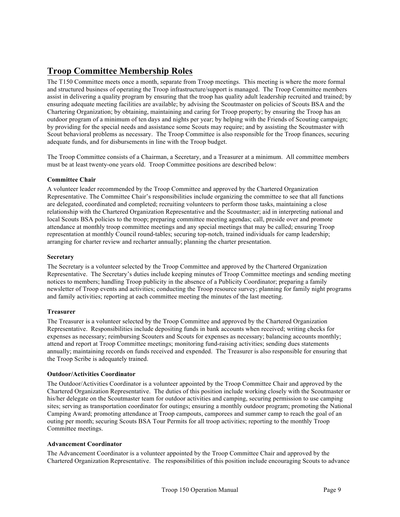# **Troop Committee Membership Roles**

The T150 Committee meets once a month, separate from Troop meetings. This meeting is where the more formal and structured business of operating the Troop infrastructure/support is managed. The Troop Committee members assist in delivering a quality program by ensuring that the troop has quality adult leadership recruited and trained; by ensuring adequate meeting facilities are available; by advising the Scoutmaster on policies of Scouts BSA and the Chartering Organization; by obtaining, maintaining and caring for Troop property; by ensuring the Troop has an outdoor program of a minimum of ten days and nights per year; by helping with the Friends of Scouting campaign; by providing for the special needs and assistance some Scouts may require; and by assisting the Scoutmaster with Scout behavioral problems as necessary. The Troop Committee is also responsible for the Troop finances, securing adequate funds, and for disbursements in line with the Troop budget.

The Troop Committee consists of a Chairman, a Secretary, and a Treasurer at a minimum. All committee members must be at least twenty-one years old. Troop Committee positions are described below:

## **Committee Chair**

A volunteer leader recommended by the Troop Committee and approved by the Chartered Organization Representative. The Committee Chair's responsibilities include organizing the committee to see that all functions are delegated, coordinated and completed; recruiting volunteers to perform those tasks, maintaining a close relationship with the Chartered Organization Representative and the Scoutmaster; aid in interpreting national and local Scouts BSA policies to the troop; preparing committee meeting agendas; call, preside over and promote attendance at monthly troop committee meetings and any special meetings that may be called; ensuring Troop representation at monthly Council round-tables; securing top-notch, trained individuals for camp leadership; arranging for charter review and recharter annually; planning the charter presentation.

### **Secretary**

The Secretary is a volunteer selected by the Troop Committee and approved by the Chartered Organization Representative. The Secretary's duties include keeping minutes of Troop Committee meetings and sending meeting notices to members; handling Troop publicity in the absence of a Publicity Coordinator; preparing a family newsletter of Troop events and activities; conducting the Troop resource survey; planning for family night programs and family activities; reporting at each committee meeting the minutes of the last meeting.

#### **Treasurer**

The Treasurer is a volunteer selected by the Troop Committee and approved by the Chartered Organization Representative. Responsibilities include depositing funds in bank accounts when received; writing checks for expenses as necessary; reimbursing Scouters and Scouts for expenses as necessary; balancing accounts monthly; attend and report at Troop Committee meetings; monitoring fund-raising activities; sending dues statements annually; maintaining records on funds received and expended. The Treasurer is also responsible for ensuring that the Troop Scribe is adequately trained.

#### **Outdoor/Activities Coordinator**

The Outdoor/Activities Coordinator is a volunteer appointed by the Troop Committee Chair and approved by the Chartered Organization Representative. The duties of this position include working closely with the Scoutmaster or his/her delegate on the Scoutmaster team for outdoor activities and camping, securing permission to use camping sites; serving as transportation coordinator for outings; ensuring a monthly outdoor program; promoting the National Camping Award; promoting attendance at Troop campouts, camporees and summer camp to reach the goal of an outing per month; securing Scouts BSA Tour Permits for all troop activities; reporting to the monthly Troop Committee meetings.

#### **Advancement Coordinator**

The Advancement Coordinator is a volunteer appointed by the Troop Committee Chair and approved by the Chartered Organization Representative. The responsibilities of this position include encouraging Scouts to advance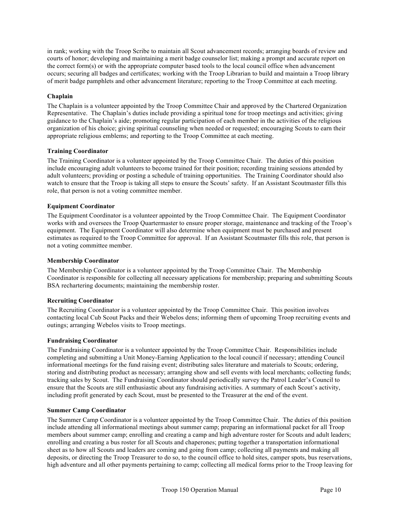in rank; working with the Troop Scribe to maintain all Scout advancement records; arranging boards of review and courts of honor; developing and maintaining a merit badge counselor list; making a prompt and accurate report on the correct form(s) or with the appropriate computer based tools to the local council office when advancement occurs; securing all badges and certificates; working with the Troop Librarian to build and maintain a Troop library of merit badge pamphlets and other advancement literature; reporting to the Troop Committee at each meeting.

## **Chaplain**

The Chaplain is a volunteer appointed by the Troop Committee Chair and approved by the Chartered Organization Representative. The Chaplain's duties include providing a spiritual tone for troop meetings and activities; giving guidance to the Chaplain's aide; promoting regular participation of each member in the activities of the religious organization of his choice; giving spiritual counseling when needed or requested; encouraging Scouts to earn their appropriate religious emblems; and reporting to the Troop Committee at each meeting.

## **Training Coordinator**

The Training Coordinator is a volunteer appointed by the Troop Committee Chair. The duties of this position include encouraging adult volunteers to become trained for their position; recording training sessions attended by adult volunteers; providing or posting a schedule of training opportunities. The Training Coordinator should also watch to ensure that the Troop is taking all steps to ensure the Scouts' safety. If an Assistant Scoutmaster fills this role, that person is not a voting committee member.

## **Equipment Coordinator**

The Equipment Coordinator is a volunteer appointed by the Troop Committee Chair. The Equipment Coordinator works with and oversees the Troop Quartermaster to ensure proper storage, maintenance and tracking of the Troop's equipment. The Equipment Coordinator will also determine when equipment must be purchased and present estimates as required to the Troop Committee for approval. If an Assistant Scoutmaster fills this role, that person is not a voting committee member.

## **Membership Coordinator**

The Membership Coordinator is a volunteer appointed by the Troop Committee Chair. The Membership Coordinator is responsible for collecting all necessary applications for membership; preparing and submitting Scouts BSA rechartering documents; maintaining the membership roster.

## **Recruiting Coordinator**

The Recruiting Coordinator is a volunteer appointed by the Troop Committee Chair. This position involves contacting local Cub Scout Packs and their Webelos dens; informing them of upcoming Troop recruiting events and outings; arranging Webelos visits to Troop meetings.

## **Fundraising Coordinator**

The Fundraising Coordinator is a volunteer appointed by the Troop Committee Chair. Responsibilities include completing and submitting a Unit Money-Earning Application to the local council if necessary; attending Council informational meetings for the fund raising event; distributing sales literature and materials to Scouts; ordering, storing and distributing product as necessary; arranging show and sell events with local merchants; collecting funds; tracking sales by Scout. The Fundraising Coordinator should periodically survey the Patrol Leader's Council to ensure that the Scouts are still enthusiastic about any fundraising activities. A summary of each Scout's activity, including profit generated by each Scout, must be presented to the Treasurer at the end of the event.

## **Summer Camp Coordinator**

The Summer Camp Coordinator is a volunteer appointed by the Troop Committee Chair. The duties of this position include attending all informational meetings about summer camp; preparing an informational packet for all Troop members about summer camp; enrolling and creating a camp and high adventure roster for Scouts and adult leaders; enrolling and creating a bus roster for all Scouts and chaperones; putting together a transportation informational sheet as to how all Scouts and leaders are coming and going from camp; collecting all payments and making all deposits, or directing the Troop Treasurer to do so, to the council office to hold sites, camper spots, bus reservations, high adventure and all other payments pertaining to camp; collecting all medical forms prior to the Troop leaving for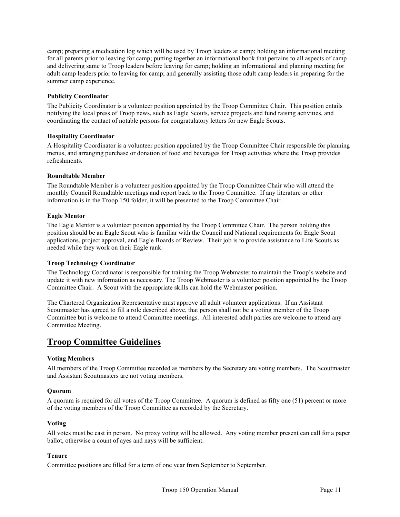camp; preparing a medication log which will be used by Troop leaders at camp; holding an informational meeting for all parents prior to leaving for camp; putting together an informational book that pertains to all aspects of camp and delivering same to Troop leaders before leaving for camp; holding an informational and planning meeting for adult camp leaders prior to leaving for camp; and generally assisting those adult camp leaders in preparing for the summer camp experience.

### **Publicity Coordinator**

The Publicity Coordinator is a volunteer position appointed by the Troop Committee Chair. This position entails notifying the local press of Troop news, such as Eagle Scouts, service projects and fund raising activities, and coordinating the contact of notable persons for congratulatory letters for new Eagle Scouts.

## **Hospitality Coordinator**

A Hospitality Coordinator is a volunteer position appointed by the Troop Committee Chair responsible for planning menus, and arranging purchase or donation of food and beverages for Troop activities where the Troop provides refreshments.

### **Roundtable Member**

The Roundtable Member is a volunteer position appointed by the Troop Committee Chair who will attend the monthly Council Roundtable meetings and report back to the Troop Committee. If any literature or other information is in the Troop 150 folder, it will be presented to the Troop Committee Chair.

### **Eagle Mentor**

The Eagle Mentor is a volunteer position appointed by the Troop Committee Chair. The person holding this position should be an Eagle Scout who is familiar with the Council and National requirements for Eagle Scout applications, project approval, and Eagle Boards of Review. Their job is to provide assistance to Life Scouts as needed while they work on their Eagle rank.

## **Troop Technology Coordinator**

The Technology Coordinator is responsible for training the Troop Webmaster to maintain the Troop's website and update it with new information as necessary. The Troop Webmaster is a volunteer position appointed by the Troop Committee Chair. A Scout with the appropriate skills can hold the Webmaster position.

The Chartered Organization Representative must approve all adult volunteer applications. If an Assistant Scoutmaster has agreed to fill a role described above, that person shall not be a voting member of the Troop Committee but is welcome to attend Committee meetings. All interested adult parties are welcome to attend any Committee Meeting.

## **Troop Committee Guidelines**

## **Voting Members**

All members of the Troop Committee recorded as members by the Secretary are voting members. The Scoutmaster and Assistant Scoutmasters are not voting members.

#### **Quorum**

A quorum is required for all votes of the Troop Committee. A quorum is defined as fifty one (51) percent or more of the voting members of the Troop Committee as recorded by the Secretary.

#### **Voting**

All votes must be cast in person. No proxy voting will be allowed. Any voting member present can call for a paper ballot, otherwise a count of ayes and nays will be sufficient.

## **Tenure**

Committee positions are filled for a term of one year from September to September.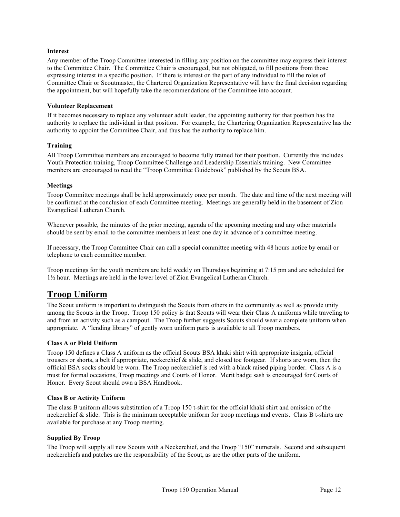### **Interest**

Any member of the Troop Committee interested in filling any position on the committee may express their interest to the Committee Chair. The Committee Chair is encouraged, but not obligated, to fill positions from those expressing interest in a specific position. If there is interest on the part of any individual to fill the roles of Committee Chair or Scoutmaster, the Chartered Organization Representative will have the final decision regarding the appointment, but will hopefully take the recommendations of the Committee into account.

#### **Volunteer Replacement**

If it becomes necessary to replace any volunteer adult leader, the appointing authority for that position has the authority to replace the individual in that position. For example, the Chartering Organization Representative has the authority to appoint the Committee Chair, and thus has the authority to replace him.

### **Training**

All Troop Committee members are encouraged to become fully trained for their position. Currently this includes Youth Protection training, Troop Committee Challenge and Leadership Essentials training. New Committee members are encouraged to read the "Troop Committee Guidebook" published by the Scouts BSA.

### **Meetings**

Troop Committee meetings shall be held approximately once per month. The date and time of the next meeting will be confirmed at the conclusion of each Committee meeting. Meetings are generally held in the basement of Zion Evangelical Lutheran Church.

Whenever possible, the minutes of the prior meeting, agenda of the upcoming meeting and any other materials should be sent by email to the committee members at least one day in advance of a committee meeting.

If necessary, the Troop Committee Chair can call a special committee meeting with 48 hours notice by email or telephone to each committee member.

Troop meetings for the youth members are held weekly on Thursdays beginning at 7:15 pm and are scheduled for 1½ hour. Meetings are held in the lower level of Zion Evangelical Lutheran Church.

## **Troop Uniform**

The Scout uniform is important to distinguish the Scouts from others in the community as well as provide unity among the Scouts in the Troop. Troop 150 policy is that Scouts will wear their Class A uniforms while traveling to and from an activity such as a campout. The Troop further suggests Scouts should wear a complete uniform when appropriate. A "lending library" of gently worn uniform parts is available to all Troop members.

## **Class A or Field Uniform**

Troop 150 defines a Class A uniform as the official Scouts BSA khaki shirt with appropriate insignia, official trousers or shorts, a belt if appropriate, neckerchief & slide, and closed toe footgear. If shorts are worn, then the official BSA socks should be worn. The Troop neckerchief is red with a black raised piping border. Class A is a must for formal occasions, Troop meetings and Courts of Honor. Merit badge sash is encouraged for Courts of Honor. Every Scout should own a BSA Handbook.

## **Class B or Activity Uniform**

The class B uniform allows substitution of a Troop 150 t-shirt for the official khaki shirt and omission of the neckerchief & slide. This is the minimum acceptable uniform for troop meetings and events. Class B t-shirts are available for purchase at any Troop meeting.

## **Supplied By Troop**

The Troop will supply all new Scouts with a Neckerchief, and the Troop "150" numerals. Second and subsequent neckerchiefs and patches are the responsibility of the Scout, as are the other parts of the uniform.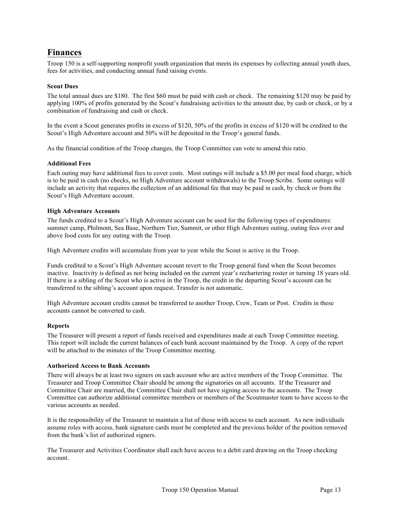## **Finances**

Troop 150 is a self-supporting nonprofit youth organization that meets its expenses by collecting annual youth dues, fees for activities, and conducting annual fund raising events.

## **Scout Dues**

The total annual dues are \$180. The first \$60 must be paid with cash or check. The remaining \$120 may be paid by applying 100% of profits generated by the Scout's fundraising activities to the amount due, by cash or check, or by a combination of fundraising and cash or check.

In the event a Scout generates profits in excess of \$120, 50% of the profits in excess of \$120 will be credited to the Scout's High Adventure account and 50% will be deposited in the Troop's general funds.

As the financial condition of the Troop changes, the Troop Committee can vote to amend this ratio.

#### **Additional Fees**

Each outing may have additional fees to cover costs. Most outings will include a \$5.00 per meal food charge, which is to be paid in cash (no checks, no High Adventure account withdrawals) to the Troop Scribe. Some outings will include an activity that requires the collection of an additional fee that may be paid in cash, by check or from the Scout's High Adventure account.

#### **High Adventure Accounts**

The funds credited to a Scout's High Adventure account can be used for the following types of expenditures: summer camp, Philmont, Sea Base, Northern Tier, Summit, or other High Adventure outing, outing fees over and above food costs for any outing with the Troop.

High Adventure credits will accumulate from year to year while the Scout is active in the Troop.

Funds credited to a Scout's High Adventure account revert to the Troop general fund when the Scout becomes inactive. Inactivity is defined as not being included on the current year's rechartering roster or turning 18 years old. If there is a sibling of the Scout who is active in the Troop, the credit in the departing Scout's account can be transferred to the sibling's account upon request. Transfer is not automatic.

High Adventure account credits cannot be transferred to another Troop, Crew, Team or Post. Credits in these accounts cannot be converted to cash.

#### **Reports**

The Treasurer will present a report of funds received and expenditures made at each Troop Committee meeting. This report will include the current balances of each bank account maintained by the Troop. A copy of the report will be attached to the minutes of the Troop Committee meeting.

### **Authorized Access to Bank Accounts**

There will always be at least two signers on each account who are active members of the Troop Committee. The Treasurer and Troop Committee Chair should be among the signatories on all accounts. If the Treasurer and Committee Chair are married, the Committee Chair shall not have signing access to the accounts. The Troop Committee can authorize additional committee members or members of the Scoutmaster team to have access to the various accounts as needed.

It is the responsibility of the Treasurer to maintain a list of those with access to each account. As new individuals assume roles with access, bank signature cards must be completed and the previous holder of the position removed from the bank's list of authorized signers.

The Treasurer and Activities Coordinator shall each have access to a debit card drawing on the Troop checking account.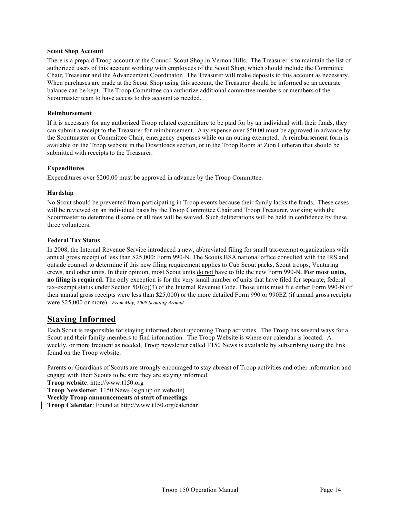#### **Scout Shop Account**

There is a prepaid Troop account at the Council Scout Shop in Vernon Hills. The Treasurer is to maintain the list of authorized users of this account working with employees of the Scout Shop, which should include the Committee Chair, Treasurer and the Advancement Coordinator. The Treasurer will make deposits to this account as necessary. When purchases are made at the Scout Shop using this account, the Treasurer should be informed so an accurate balance can be kept. The Troop Committee can authorize additional committee members or members of the Scoutmaster team to have access to this account as needed.

### **Reimbursement**

If it is necessary for any authorized Troop related expenditure to be paid for by an individual with their funds, they can submit a receipt to the Treasurer for reimbursement. Any expense over \$50.00 must be approved in advance by the Scoutmaster or Committee Chair, emergency expenses while on an outing exempted. A reimbursement form is available on the Troop website in the Downloads section, or in the Troop Room at Zion Lutheran that should be submitted with receipts to the Treasurer.

### **Expenditures**

Expenditures over \$200.00 must be approved in advance by the Troop Committee.

### **Hardship**

No Scout should be prevented from participating in Troop events because their family lacks the funds. These cases will be reviewed on an individual basis by the Troop Committee Chair and Troop Treasurer, working with the Scoutmaster to determine if some or all fees will be waived. Such deliberations will be held in confidence by these three volunteers.

### **Federal Tax Status**

In 2008, the Internal Revenue Service introduced a new, abbreviated filing for small tax-exempt organizations with annual gross receipt of less than \$25,000: Form 990-N. The Scouts BSA national office consulted with the IRS and outside counsel to determine if this new filing requirement applies to Cub Scout packs, Scout troops, Venturing crews, and other units. In their opinion, most Scout units do not have to file the new Form 990-N. **For most units, no filing is required.** The only exception is for the very small number of units that have filed for separate, federal tax-exempt status under Section  $501(c)(3)$  of the Internal Revenue Code. Those units must file either Form 990-N (if their annual gross receipts were less than \$25,000) or the more detailed Form 990 or 990EZ (if annual gross receipts were \$25,000 or more). *From May, 2009 Scouting Around*

## **Staying Informed**

Each Scout is responsible for staying informed about upcoming Troop activities. The Troop has several ways for a Scout and their family members to find information. The Troop Website is where our calendar is located. A weekly, or more frequent as needed, Troop newsletter called T150 News is available by subscribing using the link found on the Troop website.

Parents or Guardians of Scouts are strongly encouraged to stay abreast of Troop activities and other information and engage with their Scouts to be sure they are staying informed.

**Troop website**: http://www.t150.org

**Troop Newsletter**: T150 News (sign up on website)

**Weekly Troop announcements at start of meetings**

**Troop Calendar**: Found at http://www.t150.org/calendar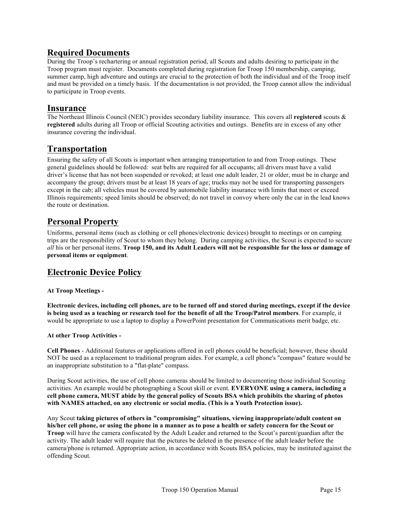## **Required Documents**

During the Troop's rechartering or annual registration period, all Scouts and adults desiring to participate in the Troop program must register. Documents completed during registration for Troop 150 membership, camping, summer camp, high adventure and outings are crucial to the protection of both the individual and of the Troop itself and must be provided on a timely basis. If the documentation is not provided, the Troop cannot allow the individual to participate in Troop events.

## **Insurance**

The Northeast Illinois Council (NEIC) provides secondary liability insurance. This covers all **registered** scouts & **registered** adults during all Troop or official Scouting activities and outings. Benefits are in excess of any other insurance covering the individual.

## **Transportation**

Ensuring the safety of all Scouts is important when arranging transportation to and from Troop outings. These general guidelines should be followed: seat belts are required for all occupants; all drivers must have a valid driver's license that has not been suspended or revoked; at least one adult leader, 21 or older, must be in charge and accompany the group; drivers must be at least 18 years of age; trucks may not be used for transporting passengers except in the cab; all vehicles must be covered by automobile liability insurance with limits that meet or exceed Illinois requirements; speed limits should be observed; do not travel in convoy where only the car in the lead knows the route or destination.

## **Personal Property**

Uniforms, personal items (such as clothing or cell phones/electronic devices) brought to meetings or on camping trips are the responsibility of Scout to whom they belong. During camping activities, the Scout is expected to secure *all* his or her personal items. **Troop 150, and its Adult Leaders will not be responsible for the loss or damage of personal items or equipment**.

## **Electronic Device Policy**

## **At Troop Meetings -**

**Electronic devices, including cell phones, are to be turned off and stored during meetings, except if the device is being used as a teaching or research tool for the benefit of all the Troop/Patrol members**. For example, it would be appropriate to use a laptop to display a PowerPoint presentation for Communications merit badge, etc.

## **At other Troop Activities -**

**Cell Phones** - Additional features or applications offered in cell phones could be beneficial; however, these should NOT be used as a replacement to traditional program aides. For example, a cell phone's "compass" feature would be an inappropriate substitution to a "flat-plate" compass.

During Scout activities, the use of cell phone cameras should be limited to documenting those individual Scouting activities. An example would be photographing a Scout skill or event. **EVERYONE using a camera, including a cell phone camera, MUST abide by the general policy of Scouts BSA which prohibits the sharing of photos with NAMES attached, on any electronic or social media. (This is a Youth Protection issue).**

Any Scout **taking pictures of others in "compromising" situations, viewing inappropriate/adult content on his/her cell phone, or using the phone in a manner as to pose a health or safety concern for the Scout or Troop** will have the camera confiscated by the Adult Leader and returned to the Scout's parent/guardian after the activity. The adult leader will require that the pictures be deleted in the presence of the adult leader before the camera/phone is returned. Appropriate action, in accordance with Scouts BSA policies, may be instituted against the offending Scout.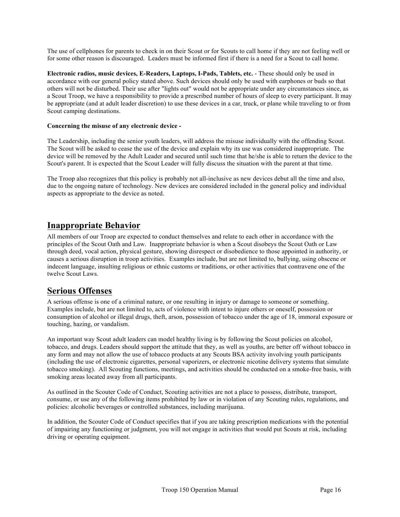The use of cellphones for parents to check in on their Scout or for Scouts to call home if they are not feeling well or for some other reason is discouraged. Leaders must be informed first if there is a need for a Scout to call home.

**Electronic radios, music devices, E-Readers, Laptops, I-Pads, Tablets, etc.** - These should only be used in accordance with our general policy stated above. Such devices should only be used with earphones or buds so that others will not be disturbed. Their use after "lights out" would not be appropriate under any circumstances since, as a Scout Troop, we have a responsibility to provide a prescribed number of hours of sleep to every participant. It may be appropriate (and at adult leader discretion) to use these devices in a car, truck, or plane while traveling to or from Scout camping destinations.

### **Concerning the misuse of any electronic device -**

The Leadership, including the senior youth leaders, will address the misuse individually with the offending Scout. The Scout will be asked to cease the use of the device and explain why its use was considered inappropriate. The device will be removed by the Adult Leader and secured until such time that he/she is able to return the device to the Scout's parent. It is expected that the Scout Leader will fully discuss the situation with the parent at that time.

The Troop also recognizes that this policy is probably not all-inclusive as new devices debut all the time and also, due to the ongoing nature of technology. New devices are considered included in the general policy and individual aspects as appropriate to the device as noted.

## **Inappropriate Behavior**

All members of our Troop are expected to conduct themselves and relate to each other in accordance with the principles of the Scout Oath and Law. Inappropriate behavior is when a Scout disobeys the Scout Oath or Law through deed, vocal action, physical gesture, showing disrespect or disobedience to those appointed in authority, or causes a serious disruption in troop activities. Examples include, but are not limited to, bullying, using obscene or indecent language, insulting religious or ethnic customs or traditions, or other activities that contravene one of the twelve Scout Laws.

## **Serious Offenses**

A serious offense is one of a criminal nature, or one resulting in injury or damage to someone or something. Examples include, but are not limited to, acts of violence with intent to injure others or oneself, possession or consumption of alcohol or illegal drugs, theft, arson, possession of tobacco under the age of 18, immoral exposure or touching, hazing, or vandalism.

An important way Scout adult leaders can model healthy living is by following the Scout policies on alcohol, tobacco, and drugs. Leaders should support the attitude that they, as well as youths, are better off without tobacco in any form and may not allow the use of tobacco products at any Scouts BSA activity involving youth participants (including the use of electronic cigarettes, personal vaporizers, or electronic nicotine delivery systems that simulate tobacco smoking). All Scouting functions, meetings, and activities should be conducted on a smoke-free basis, with smoking areas located away from all participants.

As outlined in the Scouter Code of Conduct, Scouting activities are not a place to possess, distribute, transport, consume, or use any of the following items prohibited by law or in violation of any Scouting rules, regulations, and policies: alcoholic beverages or controlled substances, including marijuana.

In addition, the Scouter Code of Conduct specifies that if you are taking prescription medications with the potential of impairing any functioning or judgment, you will not engage in activities that would put Scouts at risk, including driving or operating equipment.